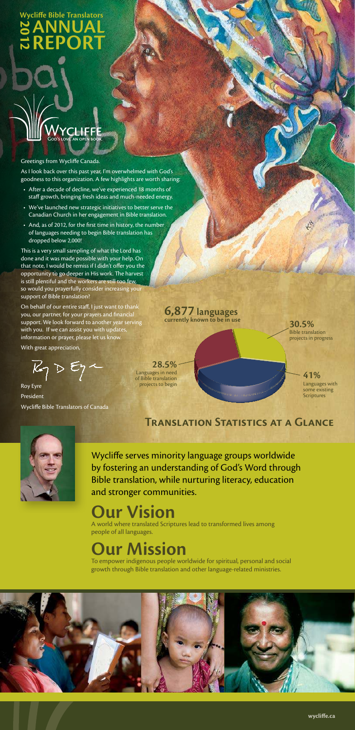## **AnnuAl 2 ANNUAL<br>2 REPORT Wycliffe Bible translators**

#### Greetings from Wycliffe Canada.

As I look back over this past year, I'm overwhelmed with God's goodness to this organization. A few highlights are worth sharing:

**LIFFE** 

.<br>God's love. an open book

- After a decade of decline, we've experienced 18 months of staff growth, bringing fresh ideas and much-needed energy.
- We've launched new strategic initiatives to better serve the Canadian Church in her engagement in Bible translation.
- And, as of 2012, for the first time in history, the number of languages needing to begin Bible translation has dropped below 2,000!

Languages with some existing **Scriptures** 

This is a very small sampling of what the Lord has done and it was made possible with your help. On that note, I would be remiss if I didn't offer you the opportunity to go deeper in His work. The harvest is still plentiful and the workers are still too few, so would you prayerfully consider increasing your support of Bible translation?

On behalf of our entire staff, I just want to thank you, our partner, for your prayers and financial support. We look forward to another year serving with you. If we can assist you with updates, information or prayer, please let us know.

With great appreciation,

 $\mathbb{Z}_1\triangleright\mathbb{E}_1$ 

Roy Eyre President Wycliffe Bible Translators of Canada

**30.5%** Bible translation projects in progress

**41%**

**28.5%** Languages in need of Bible translation projects to begin

#### **6,877 languages currently known to be in use**



# **our Vision**

A world where translated Scriptures lead to transformed lives among people of all languages.

# **our Mission**

To empower indigenous people worldwide for spiritual, personal and social growth through Bible translation and other language-related ministries.



Wycliffe serves minority language groups worldwide by fostering an understanding of God's Word through Bible translation, while nurturing literacy, education and stronger communities.

**TRANSLATION STATISTICS AT A GLANCE**